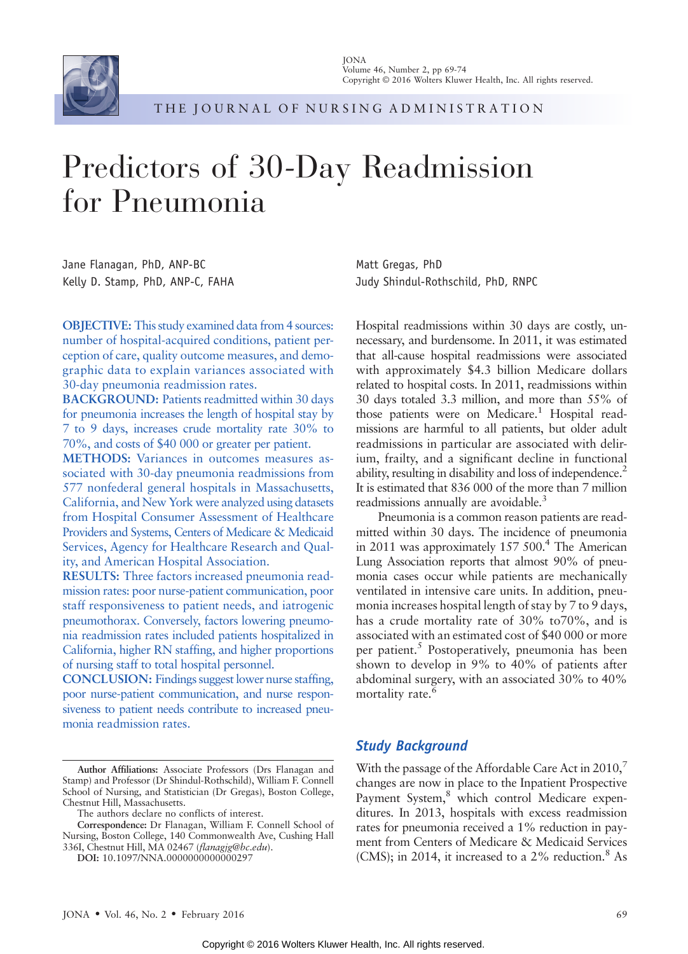

# THE JOURNAL OF NURSING ADMINISTRATION

# Predictors of 30-Day Readmission for Pneumonia

Jane Flanagan, PhD, ANP-BC Kelly D. Stamp, PhD, ANP-C, FAHA

OBJECTIVE: This study examined data from 4 sources: number of hospital-acquired conditions, patient perception of care, quality outcome measures, and demographic data to explain variances associated with 30-day pneumonia readmission rates.

BACKGROUND: Patients readmitted within 30 days for pneumonia increases the length of hospital stay by 7 to 9 days, increases crude mortality rate 30% to 70%, and costs of \$40 000 or greater per patient.

METHODS: Variances in outcomes measures associated with 30-day pneumonia readmissions from 577 nonfederal general hospitals in Massachusetts, California, and New York were analyzed using datasets from Hospital Consumer Assessment of Healthcare Providers and Systems, Centers of Medicare & Medicaid Services, Agency for Healthcare Research and Quality, and American Hospital Association.

RESULTS: Three factors increased pneumonia readmission rates: poor nurse-patient communication, poor staff responsiveness to patient needs, and iatrogenic pneumothorax. Conversely, factors lowering pneumonia readmission rates included patients hospitalized in California, higher RN staffing, and higher proportions of nursing staff to total hospital personnel.

CONCLUSION: Findings suggest lower nurse staffing, poor nurse-patient communication, and nurse responsiveness to patient needs contribute to increased pneumonia readmission rates.

Matt Gregas, PhD Judy Shindul-Rothschild, PhD, RNPC

Hospital readmissions within 30 days are costly, unnecessary, and burdensome. In 2011, it was estimated that all-cause hospital readmissions were associated with approximately \$4.3 billion Medicare dollars related to hospital costs. In 2011, readmissions within 30 days totaled 3.3 million, and more than 55% of those patients were on Medicare.<sup>1</sup> Hospital readmissions are harmful to all patients, but older adult readmissions in particular are associated with delirium, frailty, and a significant decline in functional ability, resulting in disability and loss of independence.<sup>2</sup> It is estimated that 836 000 of the more than 7 million readmissions annually are avoidable.<sup>3</sup>

Pneumonia is a common reason patients are readmitted within 30 days. The incidence of pneumonia in 2011 was approximately 157 500.<sup>4</sup> The American Lung Association reports that almost 90% of pneumonia cases occur while patients are mechanically ventilated in intensive care units. In addition, pneumonia increases hospital length of stay by 7 to 9 days, has a crude mortality rate of 30% to70%, and is associated with an estimated cost of \$40 000 or more per patient.<sup>5</sup> Postoperatively, pneumonia has been shown to develop in 9% to 40% of patients after abdominal surgery, with an associated 30% to 40% mortality rate.<sup>6</sup>

# Study Background

With the passage of the Affordable Care Act in  $2010$ , changes are now in place to the Inpatient Prospective Payment System,<sup>8</sup> which control Medicare expenditures. In 2013, hospitals with excess readmission rates for pneumonia received a 1% reduction in payment from Centers of Medicare & Medicaid Services (CMS); in 2014, it increased to a  $2\%$  reduction.<sup>8</sup> As

Author Affiliations: Associate Professors (Drs Flanagan and Stamp) and Professor (Dr Shindul-Rothschild), William F. Connell School of Nursing, and Statistician (Dr Gregas), Boston College, Chestnut Hill, Massachusetts.

The authors declare no conflicts of interest.

Correspondence: Dr Flanagan, William F. Connell School of Nursing, Boston College, 140 Commonwealth Ave, Cushing Hall 336I, Chestnut Hill, MA 02467 (flanagjg@bc.edu).

DOI: 10.1097/NNA.0000000000000297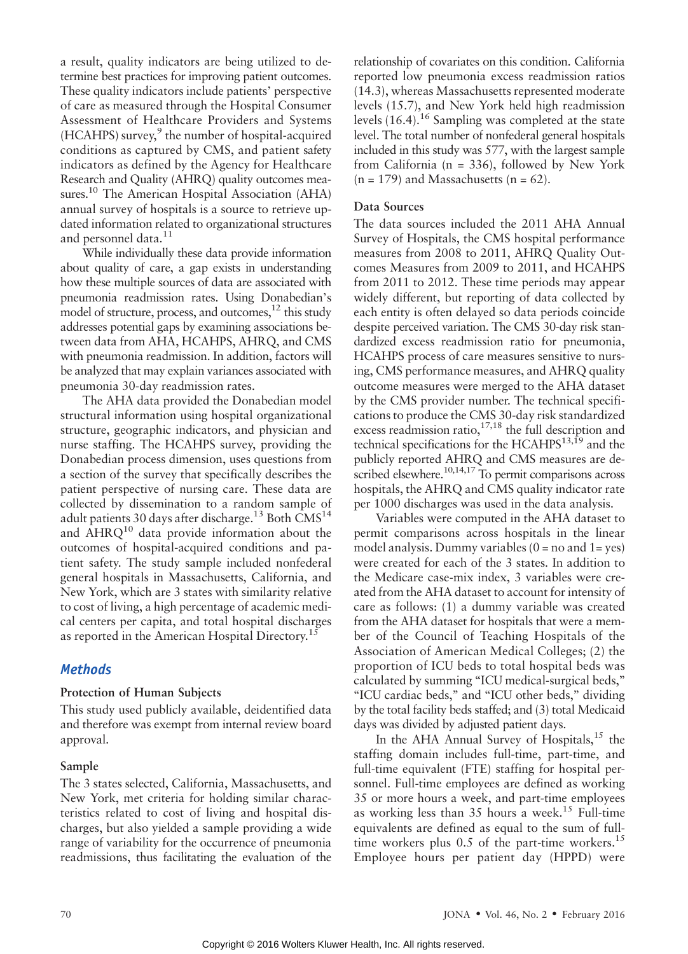a result, quality indicators are being utilized to determine best practices for improving patient outcomes. These quality indicators include patients' perspective of care as measured through the Hospital Consumer Assessment of Healthcare Providers and Systems  $(HCAHPS)$  survey, $9$  the number of hospital-acquired conditions as captured by CMS, and patient safety indicators as defined by the Agency for Healthcare Research and Quality (AHRQ) quality outcomes measures.<sup>10</sup> The American Hospital Association (AHA) annual survey of hospitals is a source to retrieve updated information related to organizational structures and personnel data.<sup>11</sup>

While individually these data provide information about quality of care, a gap exists in understanding how these multiple sources of data are associated with pneumonia readmission rates. Using Donabedian's model of structure, process, and outcomes, $^{12}$  this study addresses potential gaps by examining associations between data from AHA, HCAHPS, AHRQ, and CMS with pneumonia readmission. In addition, factors will be analyzed that may explain variances associated with pneumonia 30-day readmission rates.

The AHA data provided the Donabedian model structural information using hospital organizational structure, geographic indicators, and physician and nurse staffing. The HCAHPS survey, providing the Donabedian process dimension, uses questions from a section of the survey that specifically describes the patient perspective of nursing care. These data are collected by dissemination to a random sample of adult patients 30 days after discharge.<sup>13</sup> Both CMS<sup>14</sup> and  $AHRQ^{10}$  data provide information about the outcomes of hospital-acquired conditions and patient safety. The study sample included nonfederal general hospitals in Massachusetts, California, and New York, which are 3 states with similarity relative to cost of living, a high percentage of academic medical centers per capita, and total hospital discharges as reported in the American Hospital Directory.<sup>15</sup>

# **Methods**

## Protection of Human Subjects

This study used publicly available, deidentified data and therefore was exempt from internal review board approval.

## Sample

The 3 states selected, California, Massachusetts, and New York, met criteria for holding similar characteristics related to cost of living and hospital discharges, but also yielded a sample providing a wide range of variability for the occurrence of pneumonia readmissions, thus facilitating the evaluation of the relationship of covariates on this condition. California reported low pneumonia excess readmission ratios (14.3), whereas Massachusetts represented moderate levels (15.7), and New York held high readmission levels  $(16.4)$ <sup>16</sup> Sampling was completed at the state level. The total number of nonfederal general hospitals included in this study was 577, with the largest sample from California (n = 336), followed by New York  $(n = 179)$  and Massachusetts  $(n = 62)$ .

#### Data Sources

The data sources included the 2011 AHA Annual Survey of Hospitals, the CMS hospital performance measures from 2008 to 2011, AHRQ Quality Outcomes Measures from 2009 to 2011, and HCAHPS from 2011 to 2012. These time periods may appear widely different, but reporting of data collected by each entity is often delayed so data periods coincide despite perceived variation. The CMS 30-day risk standardized excess readmission ratio for pneumonia, HCAHPS process of care measures sensitive to nursing, CMS performance measures, and AHRQ quality outcome measures were merged to the AHA dataset by the CMS provider number. The technical specifications to produce the CMS 30-day risk standardized excess readmission ratio, $17,18$  the full description and technical specifications for the HCAHPS<sup>13,19</sup> and the publicly reported AHRQ and CMS measures are described elsewhere.<sup>10,14,17</sup> To permit comparisons across hospitals, the AHRQ and CMS quality indicator rate per 1000 discharges was used in the data analysis.

Variables were computed in the AHA dataset to permit comparisons across hospitals in the linear model analysis. Dummy variables  $(0 = no$  and  $1 = yes)$ were created for each of the 3 states. In addition to the Medicare case-mix index, 3 variables were created from the AHA dataset to account for intensity of care as follows: (1) a dummy variable was created from the AHA dataset for hospitals that were a member of the Council of Teaching Hospitals of the Association of American Medical Colleges; (2) the proportion of ICU beds to total hospital beds was calculated by summing ''ICU medical-surgical beds,'' ''ICU cardiac beds,'' and ''ICU other beds,'' dividing by the total facility beds staffed; and (3) total Medicaid days was divided by adjusted patient days.

In the AHA Annual Survey of Hospitals, $15$  the staffing domain includes full-time, part-time, and full-time equivalent (FTE) staffing for hospital personnel. Full-time employees are defined as working 35 or more hours a week, and part-time employees as working less than 35 hours a week.<sup>15</sup> Full-time equivalents are defined as equal to the sum of fulltime workers plus  $0.5$  of the part-time workers.<sup>15</sup> Employee hours per patient day (HPPD) were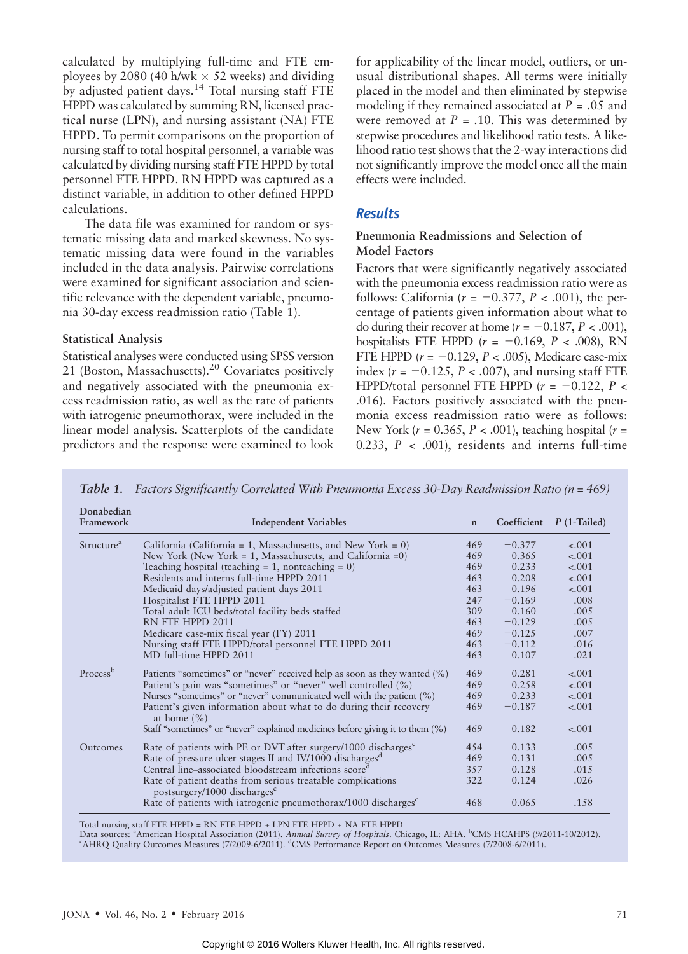calculated by multiplying full-time and FTE employees by 2080 (40 h/wk  $\times$  52 weeks) and dividing by adjusted patient days.14 Total nursing staff FTE HPPD was calculated by summing RN, licensed practical nurse (LPN), and nursing assistant (NA) FTE HPPD. To permit comparisons on the proportion of nursing staff to total hospital personnel, a variable was calculated by dividing nursing staff FTE HPPD by total personnel FTE HPPD. RN HPPD was captured as a distinct variable, in addition to other defined HPPD calculations.

The data file was examined for random or systematic missing data and marked skewness. No systematic missing data were found in the variables included in the data analysis. Pairwise correlations were examined for significant association and scientific relevance with the dependent variable, pneumonia 30-day excess readmission ratio (Table 1).

#### Statistical Analysis

Statistical analyses were conducted using SPSS version 21 (Boston, Massachusetts).<sup>20</sup> Covariates positively and negatively associated with the pneumonia excess readmission ratio, as well as the rate of patients with iatrogenic pneumothorax, were included in the linear model analysis. Scatterplots of the candidate predictors and the response were examined to look for applicability of the linear model, outliers, or unusual distributional shapes. All terms were initially placed in the model and then eliminated by stepwise modeling if they remained associated at  $P = .05$  and were removed at  $P = .10$ . This was determined by stepwise procedures and likelihood ratio tests. A likelihood ratio test shows that the 2-way interactions did not significantly improve the model once all the main effects were included.

# **Results**

## Pneumonia Readmissions and Selection of Model Factors

Factors that were significantly negatively associated with the pneumonia excess readmission ratio were as follows: California ( $r = -0.377$ ,  $P < .001$ ), the percentage of patients given information about what to do during their recover at home  $(r = -0.187, P < .001)$ , hospitalists FTE HPPD ( $r = -0.169$ ,  $P < .008$ ), RN FTE HPPD ( $r = -0.129$ ,  $P < .005$ ), Medicare case-mix index ( $r = -0.125$ ,  $P < .007$ ), and nursing staff FTE HPPD/total personnel FTE HPPD ( $r = -0.122$ , P < .016). Factors positively associated with the pneumonia excess readmission ratio were as follows: New York ( $r = 0.365$ ,  $P < .001$ ), teaching hospital ( $r =$ 0.233,  $P < .001$ , residents and interns full-time

Table 1. Factors Significantly Correlated With Pneumonia Excess 30-Day Readmission Ratio ( $n = 469$ )

| Donabedian<br>Framework | <b>Independent Variables</b>                                                                            | $\mathbf n$ | Coefficient | $P(1-Tailed)$ |
|-------------------------|---------------------------------------------------------------------------------------------------------|-------------|-------------|---------------|
| Structure <sup>a</sup>  | California (California = 1, Massachusetts, and New York = $0$ )                                         | 469         | $-0.377$    | $-.001$       |
|                         | New York (New York = 1, Massachusetts, and California = 0)                                              | 469         | 0.365       | $-.001$       |
|                         | Teaching hospital (teaching $= 1$ , nonteaching $= 0$ )                                                 | 469         | 0.233       | $-.001$       |
|                         | Residents and interns full-time HPPD 2011                                                               | 463         | 0.208       | $-.001$       |
|                         | Medicaid days/adjusted patient days 2011                                                                | 463         | 0.196       | $-.001$       |
|                         | Hospitalist FTE HPPD 2011                                                                               | 247         | $-0.169$    | .008          |
|                         | Total adult ICU beds/total facility beds staffed                                                        | 309         | 0.160       | .005          |
|                         | RN FTE HPPD 2011                                                                                        | 463         | $-0.129$    | .005          |
|                         | Medicare case-mix fiscal year (FY) 2011                                                                 | 469         | $-0.125$    | .007          |
|                         | Nursing staff FTE HPPD/total personnel FTE HPPD 2011                                                    | 463         | $-0.112$    | .016          |
|                         | MD full-time HPPD 2011                                                                                  | 463         | 0.107       | .021          |
| Process <sup>b</sup>    | Patients "sometimes" or "never" received help as soon as they wanted (%)                                | 469         | 0.281       | $-.001$       |
|                         | Patient's pain was "sometimes" or "never" well controlled (%)                                           | 469         | 0.2.58      | $-.001$       |
|                         | Nurses "sometimes" or "never" communicated well with the patient (%)                                    | 469         | 0.233       | $-.001$       |
|                         | Patient's given information about what to do during their recovery<br>at home $(\% )$                   | 469         | $-0.187$    | $-.001$       |
|                         | Staff "sometimes" or "never" explained medicines before giving it to them (%)                           | 469         | 0.182       | $-.001$       |
| Outcomes                | Rate of patients with PE or DVT after surgery/1000 discharges <sup>c</sup>                              | 454         | 0.133       | .005          |
|                         | Rate of pressure ulcer stages II and IV/1000 discharges <sup>d</sup>                                    | 469         | 0.131       | .005          |
|                         | Central line-associated bloodstream infections scored                                                   | 357         | 0.128       | .015          |
|                         | Rate of patient deaths from serious treatable complications<br>postsurgery/1000 discharges <sup>c</sup> | 322         | 0.124       | .026          |
|                         | Rate of patients with iatrogenic pneumothorax/1000 discharges <sup>c</sup>                              | 468         | 0.065       | .158          |

Total nursing staff FTE HPPD = RN FTE HPPD + LPN FTE HPPD + NA FTE HPPD

Data sources: <sup>a</sup>American Hospital Association (2011). *Annual Survey of Hospitals*. Chicago, IL: AHA. <sup>b</sup>CMS HCAHPS (9/2011-10/2012).<br><sup>c</sup>AHRQ Quality Outcomes Measures (7/2009-6/2011). <sup>d</sup>CMS Performance Report on Outcome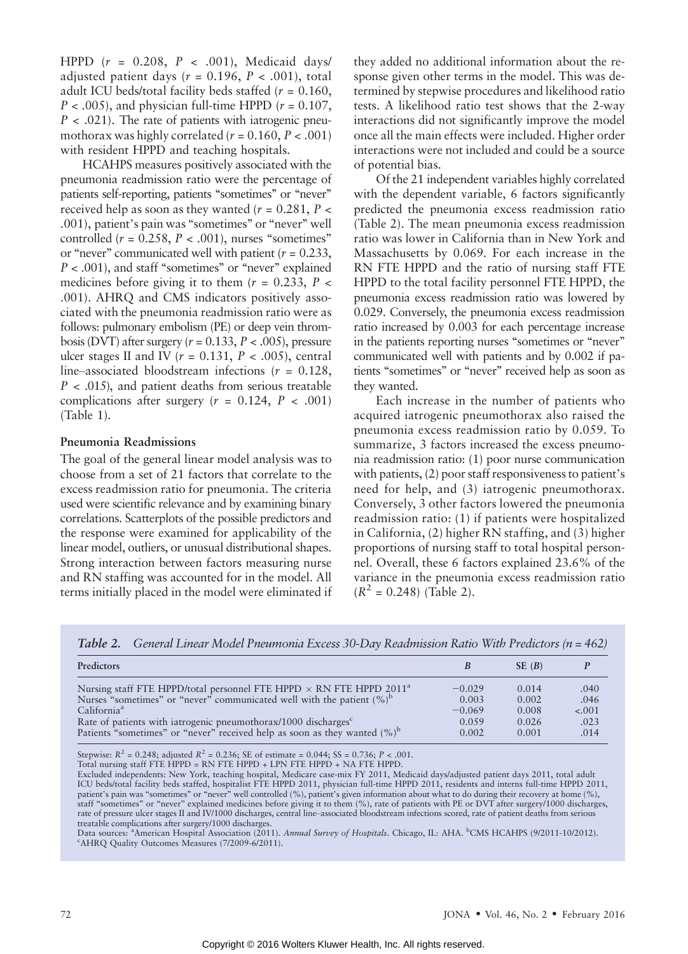HPPD  $(r = 0.208, P < .001)$ , Medicaid days/ adjusted patient days ( $r = 0.196$ ,  $P < .001$ ), total adult ICU beds/total facility beds staffed ( $r = 0.160$ ,  $P < .005$ ), and physician full-time HPPD ( $r = 0.107$ ,  $P < .021$ ). The rate of patients with iatrogenic pneumothorax was highly correlated ( $r = 0.160$ ,  $P < .001$ ) with resident HPPD and teaching hospitals.

HCAHPS measures positively associated with the pneumonia readmission ratio were the percentage of patients self-reporting, patients "sometimes" or "never" received help as soon as they wanted ( $r = 0.281$ ,  $P \le$ .001), patient's pain was "sometimes" or "never" well controlled ( $r = 0.258$ ,  $P < .001$ ), nurses "sometimes" or "never" communicated well with patient ( $r = 0.233$ ,  $P < .001$ ), and staff "sometimes" or "never" explained medicines before giving it to them  $(r = 0.233, P <$ .001). AHRQ and CMS indicators positively associated with the pneumonia readmission ratio were as follows: pulmonary embolism (PE) or deep vein thrombosis (DVT) after surgery ( $r = 0.133$ ,  $P < .005$ ), pressure ulcer stages II and IV  $(r = 0.131, P < .005)$ , central line–associated bloodstream infections ( $r = 0.128$ ,  $P < .015$ ), and patient deaths from serious treatable complications after surgery  $(r = 0.124, P < .001)$ (Table 1).

#### Pneumonia Readmissions

The goal of the general linear model analysis was to choose from a set of 21 factors that correlate to the excess readmission ratio for pneumonia. The criteria used were scientific relevance and by examining binary correlations. Scatterplots of the possible predictors and the response were examined for applicability of the linear model, outliers, or unusual distributional shapes. Strong interaction between factors measuring nurse and RN staffing was accounted for in the model. All terms initially placed in the model were eliminated if they added no additional information about the response given other terms in the model. This was determined by stepwise procedures and likelihood ratio tests. A likelihood ratio test shows that the 2-way interactions did not significantly improve the model once all the main effects were included. Higher order interactions were not included and could be a source of potential bias.

Of the 21 independent variables highly correlated with the dependent variable, 6 factors significantly predicted the pneumonia excess readmission ratio (Table 2). The mean pneumonia excess readmission ratio was lower in California than in New York and Massachusetts by 0.069. For each increase in the RN FTE HPPD and the ratio of nursing staff FTE HPPD to the total facility personnel FTE HPPD, the pneumonia excess readmission ratio was lowered by 0.029. Conversely, the pneumonia excess readmission ratio increased by 0.003 for each percentage increase in the patients reporting nurses "sometimes or "never" communicated well with patients and by 0.002 if patients "sometimes" or "never" received help as soon as they wanted.

Each increase in the number of patients who acquired iatrogenic pneumothorax also raised the pneumonia excess readmission ratio by 0.059. To summarize, 3 factors increased the excess pneumonia readmission ratio: (1) poor nurse communication with patients,  $(2)$  poor staff responsiveness to patient's need for help, and (3) iatrogenic pneumothorax. Conversely, 3 other factors lowered the pneumonia readmission ratio: (1) if patients were hospitalized in California, (2) higher RN staffing, and (3) higher proportions of nursing staff to total hospital personnel. Overall, these 6 factors explained 23.6% of the variance in the pneumonia excess readmission ratio  $(R^2 = 0.248)$  (Table 2).

Table 2. General Linear Model Pneumonia Excess 30-Day Readmission Ratio With Predictors (n = 462)

| Predictors                                                                             |          | SE(B) |         |
|----------------------------------------------------------------------------------------|----------|-------|---------|
| Nursing staff FTE HPPD/total personnel FTE HPPD $\times$ RN FTE HPPD 2011 <sup>a</sup> | $-0.029$ | 0.014 | .040    |
| Nurses "sometimes" or "never" communicated well with the patient $(%)^b$               | 0.003    | 0.002 | .046    |
| California <sup>a</sup>                                                                | $-0.069$ | 0.008 | $-.001$ |
| Rate of patients with iatrogenic pneumothorax/1000 discharges <sup>c</sup>             | 0.059    | 0.026 | .023    |
| Patients "sometimes" or "never" received help as soon as they wanted $(%)^b$           | 0.002    | 0.001 | .014    |

Stepwise:  $R^2 = 0.248$ ; adjusted  $R^2 = 0.236$ ; SE of estimate = 0.044; SS = 0.736;  $P < .001$ .<br>Total nursing staff FTE HPPD = RN FTE HPPD + LPN FTE HPPD + NA FTE HPPD.

Excluded independents: New York, teaching hospital, Medicare case-mix FY 2011, Medicaid days/adjusted patient days 2011, total adult ICU beds/total facility beds staffed, hospitalist FTE HPPD 2011, physician full-time HPPD 2011, residents and interns full-time HPPD 2011, patient's pain was "sometimes" or "never" well controlled (%), patient's given information about what to do during their recovery at home (%), staff ''sometimes'' or ''never'' explained medicines before giving it to them (%), rate of patients with PE or DVT after surgery/1000 discharges, rate of pressure ulcer stages II and IV/1000 discharges, central line-associated bloodstream infections scored, rate of patient deaths from serious treatable complications after surgery/1000 discharges.

Data sources: <sup>a</sup>American Hospital Association (2011). Annual Survey of Hospitals. Chicago, IL: AHA. <sup>b</sup>CMS HCAHPS (9/2011-10/2012).<br>SAHPO Ovality Outcomes Messures (7/2009-6/2011). AHRQ Quality Outcomes Measures (7/2009-6/2011).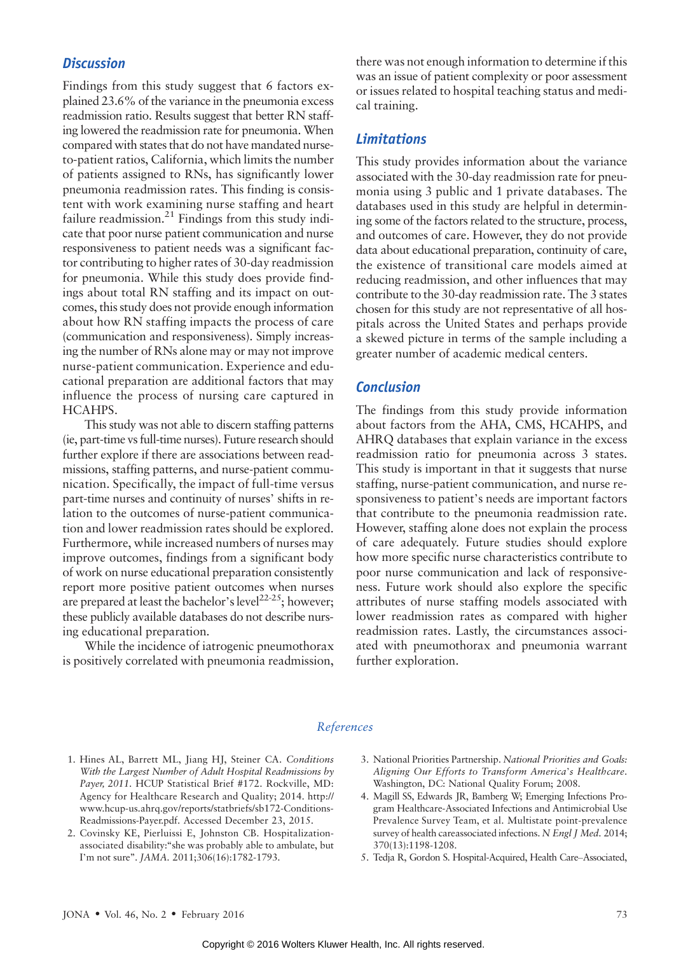# **Discussion**

Findings from this study suggest that 6 factors explained 23.6% of the variance in the pneumonia excess readmission ratio. Results suggest that better RN staffing lowered the readmission rate for pneumonia. When compared with states that do not have mandated nurseto-patient ratios, California, which limits the number of patients assigned to RNs, has significantly lower pneumonia readmission rates. This finding is consistent with work examining nurse staffing and heart failure readmission. $21$  Findings from this study indicate that poor nurse patient communication and nurse responsiveness to patient needs was a significant factor contributing to higher rates of 30-day readmission for pneumonia. While this study does provide findings about total RN staffing and its impact on outcomes, this study does not provide enough information about how RN staffing impacts the process of care (communication and responsiveness). Simply increasing the number of RNs alone may or may not improve nurse-patient communication. Experience and educational preparation are additional factors that may influence the process of nursing care captured in HCAHPS.

This study was not able to discern staffing patterns (ie, part-time vs full-time nurses). Future research should further explore if there are associations between readmissions, staffing patterns, and nurse-patient communication. Specifically, the impact of full-time versus part-time nurses and continuity of nurses' shifts in relation to the outcomes of nurse-patient communication and lower readmission rates should be explored. Furthermore, while increased numbers of nurses may improve outcomes, findings from a significant body of work on nurse educational preparation consistently report more positive patient outcomes when nurses are prepared at least the bachelor's level<sup>22-25</sup>; however; these publicly available databases do not describe nursing educational preparation.

While the incidence of iatrogenic pneumothorax is positively correlated with pneumonia readmission,

there was not enough information to determine if this was an issue of patient complexity or poor assessment or issues related to hospital teaching status and medical training.

#### Limitations

This study provides information about the variance associated with the 30-day readmission rate for pneumonia using 3 public and 1 private databases. The databases used in this study are helpful in determining some of the factors related to the structure, process, and outcomes of care. However, they do not provide data about educational preparation, continuity of care, the existence of transitional care models aimed at reducing readmission, and other influences that may contribute to the 30-day readmission rate. The 3 states chosen for this study are not representative of all hospitals across the United States and perhaps provide a skewed picture in terms of the sample including a greater number of academic medical centers.

## **Conclusion**

The findings from this study provide information about factors from the AHA, CMS, HCAHPS, and AHRQ databases that explain variance in the excess readmission ratio for pneumonia across 3 states. This study is important in that it suggests that nurse staffing, nurse-patient communication, and nurse responsiveness to patient's needs are important factors that contribute to the pneumonia readmission rate. However, staffing alone does not explain the process of care adequately. Future studies should explore how more specific nurse characteristics contribute to poor nurse communication and lack of responsiveness. Future work should also explore the specific attributes of nurse staffing models associated with lower readmission rates as compared with higher readmission rates. Lastly, the circumstances associated with pneumothorax and pneumonia warrant further exploration.

## References

- 1. Hines AL, Barrett ML, Jiang HJ, Steiner CA. Conditions With the Largest Number of Adult Hospital Readmissions by Payer, 2011. HCUP Statistical Brief #172. Rockville, MD: Agency for Healthcare Research and Quality; 2014. [http://](http://www.hcup-us.ahrq.gov/reports/statbriefs/sb172-Conditions-Readmissions-Payer.pdf) [www.hcup-us.ahrq.gov/reports/statbriefs/sb172-Conditions-](http://www.hcup-us.ahrq.gov/reports/statbriefs/sb172-Conditions-Readmissions-Payer.pdf)[Readmissions-Payer.pdf.](http://www.hcup-us.ahrq.gov/reports/statbriefs/sb172-Conditions-Readmissions-Payer.pdf) Accessed December 23, 2015.
- 2. Covinsky KE, Pierluissi E, Johnston CB. Hospitalizationassociated disability:''she was probably able to ambulate, but I\_m not sure''. JAMA. 2011;306(16):1782-1793.
- 3. National Priorities Partnership. National Priorities and Goals: Aligning Our Efforts to Transform America's Healthcare. Washington, DC: National Quality Forum; 2008.
- 4. Magill SS, Edwards JR, Bamberg W; Emerging Infections Program Healthcare-Associated Infections and Antimicrobial Use Prevalence Survey Team, et al. Multistate point-prevalence survey of health careassociated infections. N Engl J Med. 2014; 370(13):1198-1208.
- 5. Tedja R, Gordon S. Hospital-Acquired, Health Care-Associated,